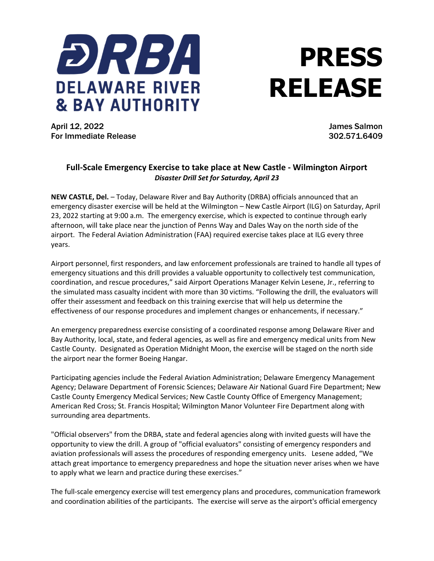

## **PRESS RELEASE**

April 12, 2022 James Salmon For Immediate Release 302.571.6409

## **Full-Scale Emergency Exercise to take place at New Castle - Wilmington Airport** *Disaster Drill Set for Saturday, April 23*

**NEW CASTLE, Del.** – Today, Delaware River and Bay Authority (DRBA) officials announced that an emergency disaster exercise will be held at the Wilmington – New Castle Airport (ILG) on Saturday, April 23, 2022 starting at 9:00 a.m. The emergency exercise, which is expected to continue through early afternoon, will take place near the junction of Penns Way and Dales Way on the north side of the airport. The Federal Aviation Administration (FAA) required exercise takes place at ILG every three years.

Airport personnel, first responders, and law enforcement professionals are trained to handle all types of emergency situations and this drill provides a valuable opportunity to collectively test communication, coordination, and rescue procedures," said Airport Operations Manager Kelvin Lesene, Jr., referring to the simulated mass casualty incident with more than 30 victims. "Following the drill, the evaluators will offer their assessment and feedback on this training exercise that will help us determine the effectiveness of our response procedures and implement changes or enhancements, if necessary."

An emergency preparedness exercise consisting of a coordinated response among Delaware River and Bay Authority, local, state, and federal agencies, as well as fire and emergency medical units from New Castle County. Designated as Operation Midnight Moon, the exercise will be staged on the north side the airport near the former Boeing Hangar.

Participating agencies include the Federal Aviation Administration; Delaware Emergency Management Agency; Delaware Department of Forensic Sciences; Delaware Air National Guard Fire Department; New Castle County Emergency Medical Services; New Castle County Office of Emergency Management; American Red Cross; St. Francis Hospital; Wilmington Manor Volunteer Fire Department along with surrounding area departments.

"Official observers" from the DRBA, state and federal agencies along with invited guests will have the opportunity to view the drill. A group of "official evaluators" consisting of emergency responders and aviation professionals will assess the procedures of responding emergency units. Lesene added, "We attach great importance to emergency preparedness and hope the situation never arises when we have to apply what we learn and practice during these exercises."

The full-scale emergency exercise will test emergency plans and procedures, communication framework and coordination abilities of the participants. The exercise will serve as the airport's official emergency